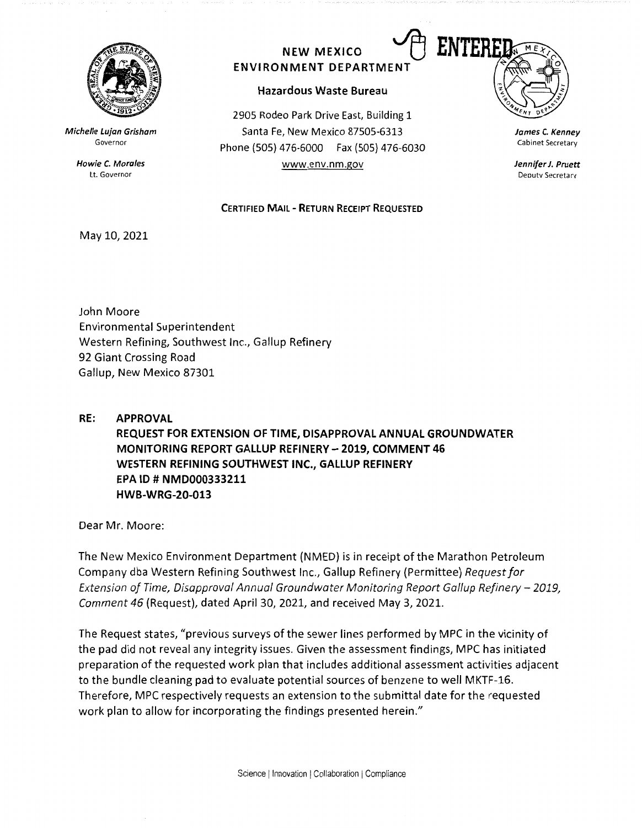

**Michelle Lujan Grisham**  Governor

> **Howie C. Morales**  Lt. Governor

## NEW MEXICO **CO ENTER ENVIRONMENT DEPARTMEN**

## **Hazardous Waste Bureau**

2905 Rodeo Park Drive East, Building 1 Santa Fe, New Mexico 87505-6313 Phone (505) 476-6000 Fax (SOS) 476-6030 www.env.nm.gov

**CERTIFIED MAIL** - **RETURN RECEIPT REQUESTED** 



**James C. Kenney**  Cabinet Secretary

**Jennifer J. Pruett**  Deputy Secretary

## May 10, 2021

John Moore Environmental Superintendent Western Refining, Southwest Inc., Gallup Refinery 92 Giant Crossing Road Gallup, New Mexico 87301

**RE: APPROVAL REQUEST FOR EXTENSION OF TIME, DISAPPROVAL ANNUAL GROUNDWATER MONITORING REPORT GALLUP REFINERY** - **2019, COMMENT 46 WESTERN REFINING SOUTHWEST INC., GALLUP REFINERY EPA** ID# **NMD000333211 HWB-WRG-20-013** 

Dear Mr. Moore:

The New Mexico Environment Department (NMED) is in receipt of the Marathon Petroleum Company dba Western Refining Southwest Inc., Gallup Refinery (Permittee) *Request for Extension of Time, Disapproval Annual Groundwater Monitoring Report Gallup Refinery - 2019, Comment 46* (Request), dated April 30, 2021, and received May 3, 2021.

The Request states, "previous surveys of the sewer lines performed by MPC in the vicinity of the pad did not reveal any integrity issues. Given the assessment findings, MPC has initiated preparation of the requested work plan that includes additional assessment activities adjacent to the bundle cleaning pad to evaluate potential sources of benzene to well MKTF-16. Therefore, MPC respectively requests an extension to the submittal date for the requested work plan to allow for incorporating the findings presented herein."